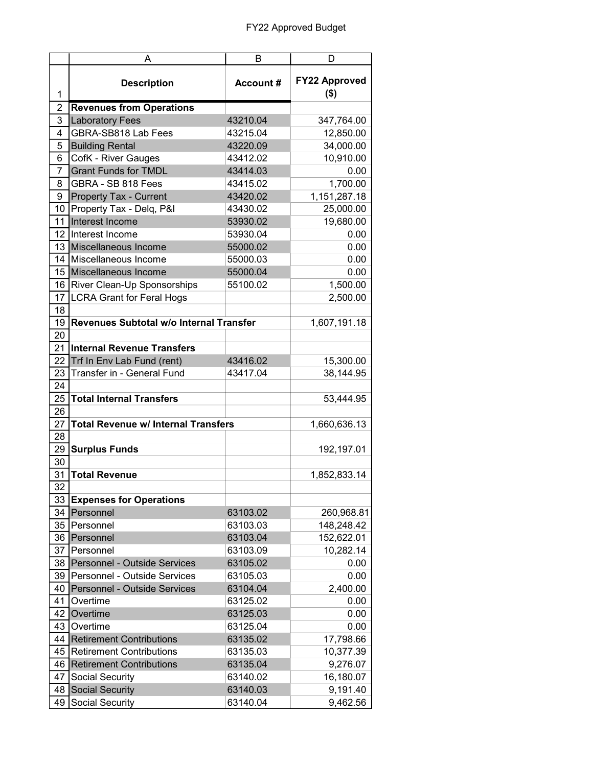| <b>FY22 Approved</b><br><b>Account#</b><br><b>Description</b><br>$($ \$)<br>1<br><b>Revenues from Operations</b><br>2<br>3<br><b>Laboratory Fees</b><br>43210.04<br>347,764.00<br>4<br>GBRA-SB818 Lab Fees<br>43215.04<br>12,850.00<br><b>Building Rental</b><br>43220.09<br>5<br>34,000.00<br>6<br>CofK - River Gauges<br>43412.02<br>10,910.00<br><b>Grant Funds for TMDL</b><br>43414.03<br>$\overline{7}$<br>0.00<br>GBRA - SB 818 Fees<br>8<br>43415.02<br>1,700.00<br>9<br>Property Tax - Current<br>43420.02<br>1,151,287.18<br>10 <sup>1</sup><br>Property Tax - Delq, P&I<br>43430.02<br>25,000.00<br>Interest Income<br>11<br>53930.02<br>19,680.00<br>12 <sub>1</sub><br>53930.04<br>Interest Income<br>0.00<br>13 Miscellaneous Income<br>55000.02<br>0.00<br>14<br>Miscellaneous Income<br>55000.03<br>0.00<br>15<br>Miscellaneous Income<br>55000.04<br>0.00<br>55100.02<br>1,500.00<br>16<br>River Clean-Up Sponsorships<br><b>LCRA Grant for Feral Hogs</b><br>17<br>2,500.00<br>18<br>Revenues Subtotal w/o Internal Transfer<br>19<br>1,607,191.18<br>20<br>21<br><b>Internal Revenue Transfers</b><br>22<br>Trf In Env Lab Fund (rent)<br>43416.02<br>15,300.00<br>23<br>Transfer in - General Fund<br>43417.04<br>38,144.95<br>24<br><b>Total Internal Transfers</b><br>25<br>53,444.95<br>26<br>27<br><b>Total Revenue w/ Internal Transfers</b><br>1,660,636.13<br>28<br>29<br><b>Surplus Funds</b><br>192,197.01<br>30<br>31<br><b>Total Revenue</b><br>1,852,833.14<br>32<br>33<br><b>Expenses for Operations</b><br>34<br>Personnel<br>63103.02<br>260,968.81<br>35<br>Personnel<br>63103.03<br>148,248.42<br>63103.04<br>152,622.01<br>36<br>Personnel<br>10,282.14<br>37<br>Personnel<br>63103.09<br>Personnel - Outside Services<br>63105.02<br>38<br>0.00<br>39<br>Personnel - Outside Services<br>63105.03<br>0.00<br>Personnel - Outside Services<br>63104.04<br>2,400.00<br>40<br>63125.02<br>41<br>Overtime<br>0.00<br>Overtime<br>63125.03<br>42<br>0.00<br>43<br>Overtime<br>63125.04<br>0.00<br><b>Retirement Contributions</b><br>63135.02<br>17,798.66<br>44<br><b>Retirement Contributions</b><br>45<br>63135.03<br>10,377.39<br><b>Retirement Contributions</b><br>63135.04<br>9,276.07<br>46<br>16,180.07<br>47<br>Social Security<br>63140.02<br><b>Social Security</b><br>63140.03<br>9,191.40<br>48<br>Social Security<br>49<br>63140.04<br>9,462.56 | A | B | D |
|--------------------------------------------------------------------------------------------------------------------------------------------------------------------------------------------------------------------------------------------------------------------------------------------------------------------------------------------------------------------------------------------------------------------------------------------------------------------------------------------------------------------------------------------------------------------------------------------------------------------------------------------------------------------------------------------------------------------------------------------------------------------------------------------------------------------------------------------------------------------------------------------------------------------------------------------------------------------------------------------------------------------------------------------------------------------------------------------------------------------------------------------------------------------------------------------------------------------------------------------------------------------------------------------------------------------------------------------------------------------------------------------------------------------------------------------------------------------------------------------------------------------------------------------------------------------------------------------------------------------------------------------------------------------------------------------------------------------------------------------------------------------------------------------------------------------------------------------------------------------------------------------------------------------------------------------------------------------------------------------------------------------------------------------------------------------------------------------------------------------------------------------------------------------------------------------------------------------------------------------------------------------------------------------------------------------------------------------------------------------------------------------------|---|---|---|
|                                                                                                                                                                                                                                                                                                                                                                                                                                                                                                                                                                                                                                                                                                                                                                                                                                                                                                                                                                                                                                                                                                                                                                                                                                                                                                                                                                                                                                                                                                                                                                                                                                                                                                                                                                                                                                                                                                                                                                                                                                                                                                                                                                                                                                                                                                                                                                                                  |   |   |   |
|                                                                                                                                                                                                                                                                                                                                                                                                                                                                                                                                                                                                                                                                                                                                                                                                                                                                                                                                                                                                                                                                                                                                                                                                                                                                                                                                                                                                                                                                                                                                                                                                                                                                                                                                                                                                                                                                                                                                                                                                                                                                                                                                                                                                                                                                                                                                                                                                  |   |   |   |
|                                                                                                                                                                                                                                                                                                                                                                                                                                                                                                                                                                                                                                                                                                                                                                                                                                                                                                                                                                                                                                                                                                                                                                                                                                                                                                                                                                                                                                                                                                                                                                                                                                                                                                                                                                                                                                                                                                                                                                                                                                                                                                                                                                                                                                                                                                                                                                                                  |   |   |   |
|                                                                                                                                                                                                                                                                                                                                                                                                                                                                                                                                                                                                                                                                                                                                                                                                                                                                                                                                                                                                                                                                                                                                                                                                                                                                                                                                                                                                                                                                                                                                                                                                                                                                                                                                                                                                                                                                                                                                                                                                                                                                                                                                                                                                                                                                                                                                                                                                  |   |   |   |
|                                                                                                                                                                                                                                                                                                                                                                                                                                                                                                                                                                                                                                                                                                                                                                                                                                                                                                                                                                                                                                                                                                                                                                                                                                                                                                                                                                                                                                                                                                                                                                                                                                                                                                                                                                                                                                                                                                                                                                                                                                                                                                                                                                                                                                                                                                                                                                                                  |   |   |   |
|                                                                                                                                                                                                                                                                                                                                                                                                                                                                                                                                                                                                                                                                                                                                                                                                                                                                                                                                                                                                                                                                                                                                                                                                                                                                                                                                                                                                                                                                                                                                                                                                                                                                                                                                                                                                                                                                                                                                                                                                                                                                                                                                                                                                                                                                                                                                                                                                  |   |   |   |
|                                                                                                                                                                                                                                                                                                                                                                                                                                                                                                                                                                                                                                                                                                                                                                                                                                                                                                                                                                                                                                                                                                                                                                                                                                                                                                                                                                                                                                                                                                                                                                                                                                                                                                                                                                                                                                                                                                                                                                                                                                                                                                                                                                                                                                                                                                                                                                                                  |   |   |   |
|                                                                                                                                                                                                                                                                                                                                                                                                                                                                                                                                                                                                                                                                                                                                                                                                                                                                                                                                                                                                                                                                                                                                                                                                                                                                                                                                                                                                                                                                                                                                                                                                                                                                                                                                                                                                                                                                                                                                                                                                                                                                                                                                                                                                                                                                                                                                                                                                  |   |   |   |
|                                                                                                                                                                                                                                                                                                                                                                                                                                                                                                                                                                                                                                                                                                                                                                                                                                                                                                                                                                                                                                                                                                                                                                                                                                                                                                                                                                                                                                                                                                                                                                                                                                                                                                                                                                                                                                                                                                                                                                                                                                                                                                                                                                                                                                                                                                                                                                                                  |   |   |   |
|                                                                                                                                                                                                                                                                                                                                                                                                                                                                                                                                                                                                                                                                                                                                                                                                                                                                                                                                                                                                                                                                                                                                                                                                                                                                                                                                                                                                                                                                                                                                                                                                                                                                                                                                                                                                                                                                                                                                                                                                                                                                                                                                                                                                                                                                                                                                                                                                  |   |   |   |
|                                                                                                                                                                                                                                                                                                                                                                                                                                                                                                                                                                                                                                                                                                                                                                                                                                                                                                                                                                                                                                                                                                                                                                                                                                                                                                                                                                                                                                                                                                                                                                                                                                                                                                                                                                                                                                                                                                                                                                                                                                                                                                                                                                                                                                                                                                                                                                                                  |   |   |   |
|                                                                                                                                                                                                                                                                                                                                                                                                                                                                                                                                                                                                                                                                                                                                                                                                                                                                                                                                                                                                                                                                                                                                                                                                                                                                                                                                                                                                                                                                                                                                                                                                                                                                                                                                                                                                                                                                                                                                                                                                                                                                                                                                                                                                                                                                                                                                                                                                  |   |   |   |
|                                                                                                                                                                                                                                                                                                                                                                                                                                                                                                                                                                                                                                                                                                                                                                                                                                                                                                                                                                                                                                                                                                                                                                                                                                                                                                                                                                                                                                                                                                                                                                                                                                                                                                                                                                                                                                                                                                                                                                                                                                                                                                                                                                                                                                                                                                                                                                                                  |   |   |   |
|                                                                                                                                                                                                                                                                                                                                                                                                                                                                                                                                                                                                                                                                                                                                                                                                                                                                                                                                                                                                                                                                                                                                                                                                                                                                                                                                                                                                                                                                                                                                                                                                                                                                                                                                                                                                                                                                                                                                                                                                                                                                                                                                                                                                                                                                                                                                                                                                  |   |   |   |
|                                                                                                                                                                                                                                                                                                                                                                                                                                                                                                                                                                                                                                                                                                                                                                                                                                                                                                                                                                                                                                                                                                                                                                                                                                                                                                                                                                                                                                                                                                                                                                                                                                                                                                                                                                                                                                                                                                                                                                                                                                                                                                                                                                                                                                                                                                                                                                                                  |   |   |   |
|                                                                                                                                                                                                                                                                                                                                                                                                                                                                                                                                                                                                                                                                                                                                                                                                                                                                                                                                                                                                                                                                                                                                                                                                                                                                                                                                                                                                                                                                                                                                                                                                                                                                                                                                                                                                                                                                                                                                                                                                                                                                                                                                                                                                                                                                                                                                                                                                  |   |   |   |
|                                                                                                                                                                                                                                                                                                                                                                                                                                                                                                                                                                                                                                                                                                                                                                                                                                                                                                                                                                                                                                                                                                                                                                                                                                                                                                                                                                                                                                                                                                                                                                                                                                                                                                                                                                                                                                                                                                                                                                                                                                                                                                                                                                                                                                                                                                                                                                                                  |   |   |   |
|                                                                                                                                                                                                                                                                                                                                                                                                                                                                                                                                                                                                                                                                                                                                                                                                                                                                                                                                                                                                                                                                                                                                                                                                                                                                                                                                                                                                                                                                                                                                                                                                                                                                                                                                                                                                                                                                                                                                                                                                                                                                                                                                                                                                                                                                                                                                                                                                  |   |   |   |
|                                                                                                                                                                                                                                                                                                                                                                                                                                                                                                                                                                                                                                                                                                                                                                                                                                                                                                                                                                                                                                                                                                                                                                                                                                                                                                                                                                                                                                                                                                                                                                                                                                                                                                                                                                                                                                                                                                                                                                                                                                                                                                                                                                                                                                                                                                                                                                                                  |   |   |   |
|                                                                                                                                                                                                                                                                                                                                                                                                                                                                                                                                                                                                                                                                                                                                                                                                                                                                                                                                                                                                                                                                                                                                                                                                                                                                                                                                                                                                                                                                                                                                                                                                                                                                                                                                                                                                                                                                                                                                                                                                                                                                                                                                                                                                                                                                                                                                                                                                  |   |   |   |
|                                                                                                                                                                                                                                                                                                                                                                                                                                                                                                                                                                                                                                                                                                                                                                                                                                                                                                                                                                                                                                                                                                                                                                                                                                                                                                                                                                                                                                                                                                                                                                                                                                                                                                                                                                                                                                                                                                                                                                                                                                                                                                                                                                                                                                                                                                                                                                                                  |   |   |   |
|                                                                                                                                                                                                                                                                                                                                                                                                                                                                                                                                                                                                                                                                                                                                                                                                                                                                                                                                                                                                                                                                                                                                                                                                                                                                                                                                                                                                                                                                                                                                                                                                                                                                                                                                                                                                                                                                                                                                                                                                                                                                                                                                                                                                                                                                                                                                                                                                  |   |   |   |
|                                                                                                                                                                                                                                                                                                                                                                                                                                                                                                                                                                                                                                                                                                                                                                                                                                                                                                                                                                                                                                                                                                                                                                                                                                                                                                                                                                                                                                                                                                                                                                                                                                                                                                                                                                                                                                                                                                                                                                                                                                                                                                                                                                                                                                                                                                                                                                                                  |   |   |   |
|                                                                                                                                                                                                                                                                                                                                                                                                                                                                                                                                                                                                                                                                                                                                                                                                                                                                                                                                                                                                                                                                                                                                                                                                                                                                                                                                                                                                                                                                                                                                                                                                                                                                                                                                                                                                                                                                                                                                                                                                                                                                                                                                                                                                                                                                                                                                                                                                  |   |   |   |
|                                                                                                                                                                                                                                                                                                                                                                                                                                                                                                                                                                                                                                                                                                                                                                                                                                                                                                                                                                                                                                                                                                                                                                                                                                                                                                                                                                                                                                                                                                                                                                                                                                                                                                                                                                                                                                                                                                                                                                                                                                                                                                                                                                                                                                                                                                                                                                                                  |   |   |   |
|                                                                                                                                                                                                                                                                                                                                                                                                                                                                                                                                                                                                                                                                                                                                                                                                                                                                                                                                                                                                                                                                                                                                                                                                                                                                                                                                                                                                                                                                                                                                                                                                                                                                                                                                                                                                                                                                                                                                                                                                                                                                                                                                                                                                                                                                                                                                                                                                  |   |   |   |
|                                                                                                                                                                                                                                                                                                                                                                                                                                                                                                                                                                                                                                                                                                                                                                                                                                                                                                                                                                                                                                                                                                                                                                                                                                                                                                                                                                                                                                                                                                                                                                                                                                                                                                                                                                                                                                                                                                                                                                                                                                                                                                                                                                                                                                                                                                                                                                                                  |   |   |   |
|                                                                                                                                                                                                                                                                                                                                                                                                                                                                                                                                                                                                                                                                                                                                                                                                                                                                                                                                                                                                                                                                                                                                                                                                                                                                                                                                                                                                                                                                                                                                                                                                                                                                                                                                                                                                                                                                                                                                                                                                                                                                                                                                                                                                                                                                                                                                                                                                  |   |   |   |
|                                                                                                                                                                                                                                                                                                                                                                                                                                                                                                                                                                                                                                                                                                                                                                                                                                                                                                                                                                                                                                                                                                                                                                                                                                                                                                                                                                                                                                                                                                                                                                                                                                                                                                                                                                                                                                                                                                                                                                                                                                                                                                                                                                                                                                                                                                                                                                                                  |   |   |   |
|                                                                                                                                                                                                                                                                                                                                                                                                                                                                                                                                                                                                                                                                                                                                                                                                                                                                                                                                                                                                                                                                                                                                                                                                                                                                                                                                                                                                                                                                                                                                                                                                                                                                                                                                                                                                                                                                                                                                                                                                                                                                                                                                                                                                                                                                                                                                                                                                  |   |   |   |
|                                                                                                                                                                                                                                                                                                                                                                                                                                                                                                                                                                                                                                                                                                                                                                                                                                                                                                                                                                                                                                                                                                                                                                                                                                                                                                                                                                                                                                                                                                                                                                                                                                                                                                                                                                                                                                                                                                                                                                                                                                                                                                                                                                                                                                                                                                                                                                                                  |   |   |   |
|                                                                                                                                                                                                                                                                                                                                                                                                                                                                                                                                                                                                                                                                                                                                                                                                                                                                                                                                                                                                                                                                                                                                                                                                                                                                                                                                                                                                                                                                                                                                                                                                                                                                                                                                                                                                                                                                                                                                                                                                                                                                                                                                                                                                                                                                                                                                                                                                  |   |   |   |
|                                                                                                                                                                                                                                                                                                                                                                                                                                                                                                                                                                                                                                                                                                                                                                                                                                                                                                                                                                                                                                                                                                                                                                                                                                                                                                                                                                                                                                                                                                                                                                                                                                                                                                                                                                                                                                                                                                                                                                                                                                                                                                                                                                                                                                                                                                                                                                                                  |   |   |   |
|                                                                                                                                                                                                                                                                                                                                                                                                                                                                                                                                                                                                                                                                                                                                                                                                                                                                                                                                                                                                                                                                                                                                                                                                                                                                                                                                                                                                                                                                                                                                                                                                                                                                                                                                                                                                                                                                                                                                                                                                                                                                                                                                                                                                                                                                                                                                                                                                  |   |   |   |
|                                                                                                                                                                                                                                                                                                                                                                                                                                                                                                                                                                                                                                                                                                                                                                                                                                                                                                                                                                                                                                                                                                                                                                                                                                                                                                                                                                                                                                                                                                                                                                                                                                                                                                                                                                                                                                                                                                                                                                                                                                                                                                                                                                                                                                                                                                                                                                                                  |   |   |   |
|                                                                                                                                                                                                                                                                                                                                                                                                                                                                                                                                                                                                                                                                                                                                                                                                                                                                                                                                                                                                                                                                                                                                                                                                                                                                                                                                                                                                                                                                                                                                                                                                                                                                                                                                                                                                                                                                                                                                                                                                                                                                                                                                                                                                                                                                                                                                                                                                  |   |   |   |
|                                                                                                                                                                                                                                                                                                                                                                                                                                                                                                                                                                                                                                                                                                                                                                                                                                                                                                                                                                                                                                                                                                                                                                                                                                                                                                                                                                                                                                                                                                                                                                                                                                                                                                                                                                                                                                                                                                                                                                                                                                                                                                                                                                                                                                                                                                                                                                                                  |   |   |   |
|                                                                                                                                                                                                                                                                                                                                                                                                                                                                                                                                                                                                                                                                                                                                                                                                                                                                                                                                                                                                                                                                                                                                                                                                                                                                                                                                                                                                                                                                                                                                                                                                                                                                                                                                                                                                                                                                                                                                                                                                                                                                                                                                                                                                                                                                                                                                                                                                  |   |   |   |
|                                                                                                                                                                                                                                                                                                                                                                                                                                                                                                                                                                                                                                                                                                                                                                                                                                                                                                                                                                                                                                                                                                                                                                                                                                                                                                                                                                                                                                                                                                                                                                                                                                                                                                                                                                                                                                                                                                                                                                                                                                                                                                                                                                                                                                                                                                                                                                                                  |   |   |   |
|                                                                                                                                                                                                                                                                                                                                                                                                                                                                                                                                                                                                                                                                                                                                                                                                                                                                                                                                                                                                                                                                                                                                                                                                                                                                                                                                                                                                                                                                                                                                                                                                                                                                                                                                                                                                                                                                                                                                                                                                                                                                                                                                                                                                                                                                                                                                                                                                  |   |   |   |
|                                                                                                                                                                                                                                                                                                                                                                                                                                                                                                                                                                                                                                                                                                                                                                                                                                                                                                                                                                                                                                                                                                                                                                                                                                                                                                                                                                                                                                                                                                                                                                                                                                                                                                                                                                                                                                                                                                                                                                                                                                                                                                                                                                                                                                                                                                                                                                                                  |   |   |   |
|                                                                                                                                                                                                                                                                                                                                                                                                                                                                                                                                                                                                                                                                                                                                                                                                                                                                                                                                                                                                                                                                                                                                                                                                                                                                                                                                                                                                                                                                                                                                                                                                                                                                                                                                                                                                                                                                                                                                                                                                                                                                                                                                                                                                                                                                                                                                                                                                  |   |   |   |
|                                                                                                                                                                                                                                                                                                                                                                                                                                                                                                                                                                                                                                                                                                                                                                                                                                                                                                                                                                                                                                                                                                                                                                                                                                                                                                                                                                                                                                                                                                                                                                                                                                                                                                                                                                                                                                                                                                                                                                                                                                                                                                                                                                                                                                                                                                                                                                                                  |   |   |   |
|                                                                                                                                                                                                                                                                                                                                                                                                                                                                                                                                                                                                                                                                                                                                                                                                                                                                                                                                                                                                                                                                                                                                                                                                                                                                                                                                                                                                                                                                                                                                                                                                                                                                                                                                                                                                                                                                                                                                                                                                                                                                                                                                                                                                                                                                                                                                                                                                  |   |   |   |
|                                                                                                                                                                                                                                                                                                                                                                                                                                                                                                                                                                                                                                                                                                                                                                                                                                                                                                                                                                                                                                                                                                                                                                                                                                                                                                                                                                                                                                                                                                                                                                                                                                                                                                                                                                                                                                                                                                                                                                                                                                                                                                                                                                                                                                                                                                                                                                                                  |   |   |   |
|                                                                                                                                                                                                                                                                                                                                                                                                                                                                                                                                                                                                                                                                                                                                                                                                                                                                                                                                                                                                                                                                                                                                                                                                                                                                                                                                                                                                                                                                                                                                                                                                                                                                                                                                                                                                                                                                                                                                                                                                                                                                                                                                                                                                                                                                                                                                                                                                  |   |   |   |
|                                                                                                                                                                                                                                                                                                                                                                                                                                                                                                                                                                                                                                                                                                                                                                                                                                                                                                                                                                                                                                                                                                                                                                                                                                                                                                                                                                                                                                                                                                                                                                                                                                                                                                                                                                                                                                                                                                                                                                                                                                                                                                                                                                                                                                                                                                                                                                                                  |   |   |   |
|                                                                                                                                                                                                                                                                                                                                                                                                                                                                                                                                                                                                                                                                                                                                                                                                                                                                                                                                                                                                                                                                                                                                                                                                                                                                                                                                                                                                                                                                                                                                                                                                                                                                                                                                                                                                                                                                                                                                                                                                                                                                                                                                                                                                                                                                                                                                                                                                  |   |   |   |
|                                                                                                                                                                                                                                                                                                                                                                                                                                                                                                                                                                                                                                                                                                                                                                                                                                                                                                                                                                                                                                                                                                                                                                                                                                                                                                                                                                                                                                                                                                                                                                                                                                                                                                                                                                                                                                                                                                                                                                                                                                                                                                                                                                                                                                                                                                                                                                                                  |   |   |   |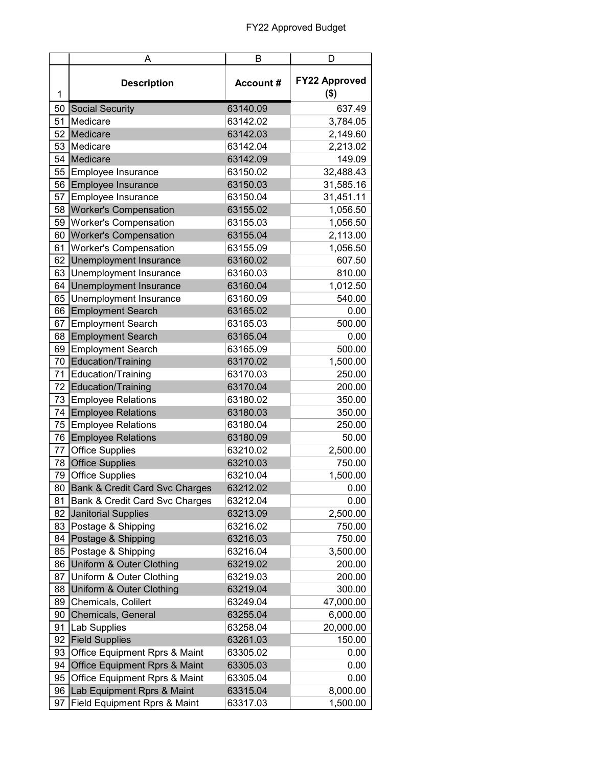|    | A                                         | В                | D                               |
|----|-------------------------------------------|------------------|---------------------------------|
| 1  | <b>Description</b>                        | <b>Account #</b> | <b>FY22 Approved</b><br>$($ \$) |
| 50 | <b>Social Security</b>                    | 63140.09         | 637.49                          |
| 51 | Medicare                                  | 63142.02         | 3,784.05                        |
| 52 | Medicare                                  | 63142.03         | 2,149.60                        |
| 53 | Medicare                                  | 63142.04         | 2,213.02                        |
| 54 | Medicare                                  | 63142.09         | 149.09                          |
| 55 | Employee Insurance                        | 63150.02         | 32,488.43                       |
| 56 | Employee Insurance                        | 63150.03         | 31,585.16                       |
| 57 | Employee Insurance                        | 63150.04         | 31,451.11                       |
| 58 | <b>Worker's Compensation</b>              | 63155.02         | 1,056.50                        |
| 59 | <b>Worker's Compensation</b>              | 63155.03         | 1,056.50                        |
| 60 | <b>Worker's Compensation</b>              | 63155.04         | 2,113.00                        |
| 61 | <b>Worker's Compensation</b>              | 63155.09         | 1,056.50                        |
| 62 | Unemployment Insurance                    | 63160.02         | 607.50                          |
| 63 | Unemployment Insurance                    | 63160.03         | 810.00                          |
| 64 | Unemployment Insurance                    | 63160.04         | 1,012.50                        |
| 65 | Unemployment Insurance                    | 63160.09         | 540.00                          |
| 66 | <b>Employment Search</b>                  | 63165.02         | 0.00                            |
| 67 | <b>Employment Search</b>                  | 63165.03         | 500.00                          |
| 68 | <b>Employment Search</b>                  | 63165.04         | 0.00                            |
| 69 | <b>Employment Search</b>                  | 63165.09         | 500.00                          |
| 70 | <b>Education/Training</b>                 | 63170.02         | 1,500.00                        |
| 71 | Education/Training                        | 63170.03         | 250.00                          |
| 72 | Education/Training                        | 63170.04         | 200.00                          |
| 73 | <b>Employee Relations</b>                 | 63180.02         | 350.00                          |
| 74 | <b>Employee Relations</b>                 | 63180.03         | 350.00                          |
| 75 | <b>Employee Relations</b>                 | 63180.04         | 250.00                          |
| 76 | <b>Employee Relations</b>                 | 63180.09         | 50.00                           |
| 77 | <b>Office Supplies</b>                    | 63210.02         | 2,500.00                        |
| 78 | <b>Office Supplies</b>                    | 63210.03         | 750.00                          |
| 79 | <b>Office Supplies</b>                    | 63210.04         | 1,500.00                        |
| 80 | <b>Bank &amp; Credit Card Svc Charges</b> | 63212.02         | 0.00                            |
| 81 | Bank & Credit Card Svc Charges            | 63212.04         | 0.00                            |
| 82 | <b>Janitorial Supplies</b>                | 63213.09         | 2,500.00                        |
| 83 | Postage & Shipping                        | 63216.02         | 750.00                          |
| 84 | Postage & Shipping                        | 63216.03         | 750.00                          |
| 85 | Postage & Shipping                        | 63216.04         | 3,500.00                        |
| 86 | Uniform & Outer Clothing                  | 63219.02         | 200.00                          |
| 87 | Uniform & Outer Clothing                  | 63219.03         | 200.00                          |
| 88 | Uniform & Outer Clothing                  | 63219.04         | 300.00                          |
| 89 | Chemicals, Colilert                       | 63249.04         | 47,000.00                       |
| 90 | Chemicals, General                        | 63255.04         | 6,000.00                        |
| 91 | Lab Supplies                              | 63258.04         | 20,000.00                       |
| 92 | <b>Field Supplies</b>                     | 63261.03         | 150.00                          |
| 93 | Office Equipment Rprs & Maint             | 63305.02         | 0.00                            |
| 94 | <b>Office Equipment Rprs &amp; Maint</b>  | 63305.03         | 0.00                            |
| 95 | Office Equipment Rprs & Maint             | 63305.04         | 0.00                            |
| 96 | Lab Equipment Rprs & Maint                | 63315.04         | 8,000.00                        |
| 97 | Field Equipment Rprs & Maint              | 63317.03         | 1,500.00                        |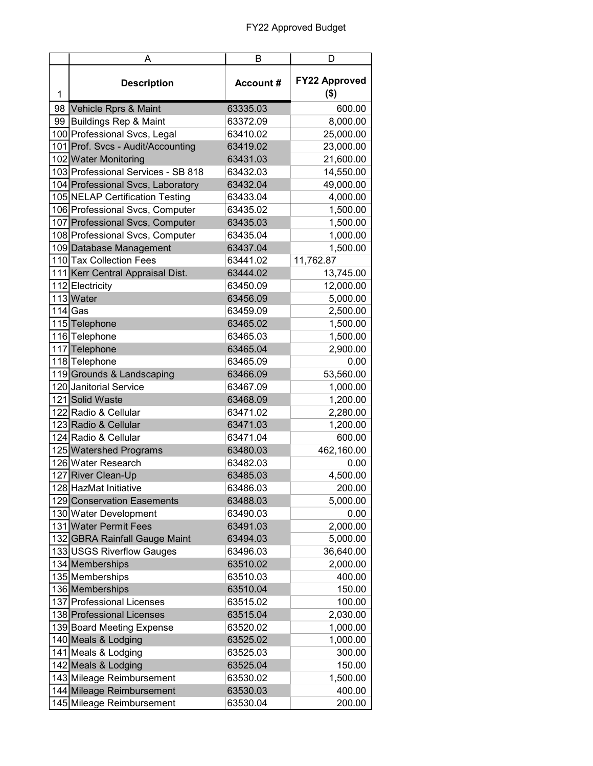|   | A                                  | в                | D                               |
|---|------------------------------------|------------------|---------------------------------|
| 1 | <b>Description</b>                 | <b>Account #</b> | <b>FY22 Approved</b><br>$($ \$) |
|   | 98 Vehicle Rprs & Maint            | 63335.03         | 600.00                          |
|   | 99 Buildings Rep & Maint           | 63372.09         | 8,000.00                        |
|   | 100 Professional Svcs, Legal       | 63410.02         | 25,000.00                       |
|   | 101 Prof. Svcs - Audit/Accounting  | 63419.02         | 23,000.00                       |
|   | 102 Water Monitoring               | 63431.03         | 21,600.00                       |
|   | 103 Professional Services - SB 818 | 63432.03         | 14,550.00                       |
|   | 104 Professional Svcs, Laboratory  | 63432.04         | 49,000.00                       |
|   | 105 NELAP Certification Testing    | 63433.04         | 4,000.00                        |
|   | 106 Professional Svcs, Computer    | 63435.02         | 1,500.00                        |
|   | 107 Professional Svcs, Computer    | 63435.03         | 1,500.00                        |
|   | 108 Professional Svcs, Computer    | 63435.04         | 1,000.00                        |
|   | 109 Database Management            | 63437.04         | 1,500.00                        |
|   | 110 Tax Collection Fees            | 63441.02         | 11,762.87                       |
|   | 111 Kerr Central Appraisal Dist.   | 63444.02         | 13,745.00                       |
|   | 112 Electricity                    | 63450.09         | 12,000.00                       |
|   | 113 Water                          | 63456.09         | 5,000.00                        |
|   | $114$ Gas                          | 63459.09         | 2,500.00                        |
|   | 115 Telephone                      | 63465.02         | 1,500.00                        |
|   | 116 Telephone                      | 63465.03         | 1,500.00                        |
|   | 117 Telephone                      | 63465.04         | 2,900.00                        |
|   | 118 Telephone                      | 63465.09         | 0.00                            |
|   | 119 Grounds & Landscaping          | 63466.09         | 53,560.00                       |
|   | 120 Janitorial Service             | 63467.09         | 1,000.00                        |
|   | 121 Solid Waste                    | 63468.09         | 1,200.00                        |
|   | 122 Radio & Cellular               | 63471.02         | 2,280.00                        |
|   | 123 Radio & Cellular               | 63471.03         | 1,200.00                        |
|   | 124 Radio & Cellular               | 63471.04         | 600.00                          |
|   | 125 Watershed Programs             | 63480.03         | 462,160.00                      |
|   | 126 Water Research                 | 63482.03         | 0.00                            |
|   | 127 River Clean-Up                 | 63485.03         | 4,500.00                        |
|   | 128 HazMat Initiative              | 63486.03         | 200.00                          |
|   | 129 Conservation Easements         | 63488.03         | 5,000.00                        |
|   | 130 Water Development              | 63490.03         | 0.00                            |
|   | 131 Water Permit Fees              | 63491.03         | 2,000.00                        |
|   | 132 GBRA Rainfall Gauge Maint      | 63494.03         | 5,000.00                        |
|   | 133 USGS Riverflow Gauges          | 63496.03         | 36,640.00                       |
|   | 134 Memberships                    | 63510.02         | 2,000.00                        |
|   | 135 Memberships                    | 63510.03         | 400.00                          |
|   | 136 Memberships                    | 63510.04         | 150.00                          |
|   | 137 Professional Licenses          | 63515.02         | 100.00                          |
|   | 138 Professional Licenses          | 63515.04         | 2,030.00                        |
|   | 139 Board Meeting Expense          | 63520.02         | 1,000.00                        |
|   | 140 Meals & Lodging                | 63525.02         | 1,000.00                        |
|   | 141 Meals & Lodging                | 63525.03         | 300.00                          |
|   | 142 Meals & Lodging                | 63525.04         | 150.00                          |
|   | 143 Mileage Reimbursement          | 63530.02         | 1,500.00                        |
|   | 144 Mileage Reimbursement          | 63530.03         | 400.00                          |
|   | 145 Mileage Reimbursement          | 63530.04         | 200.00                          |